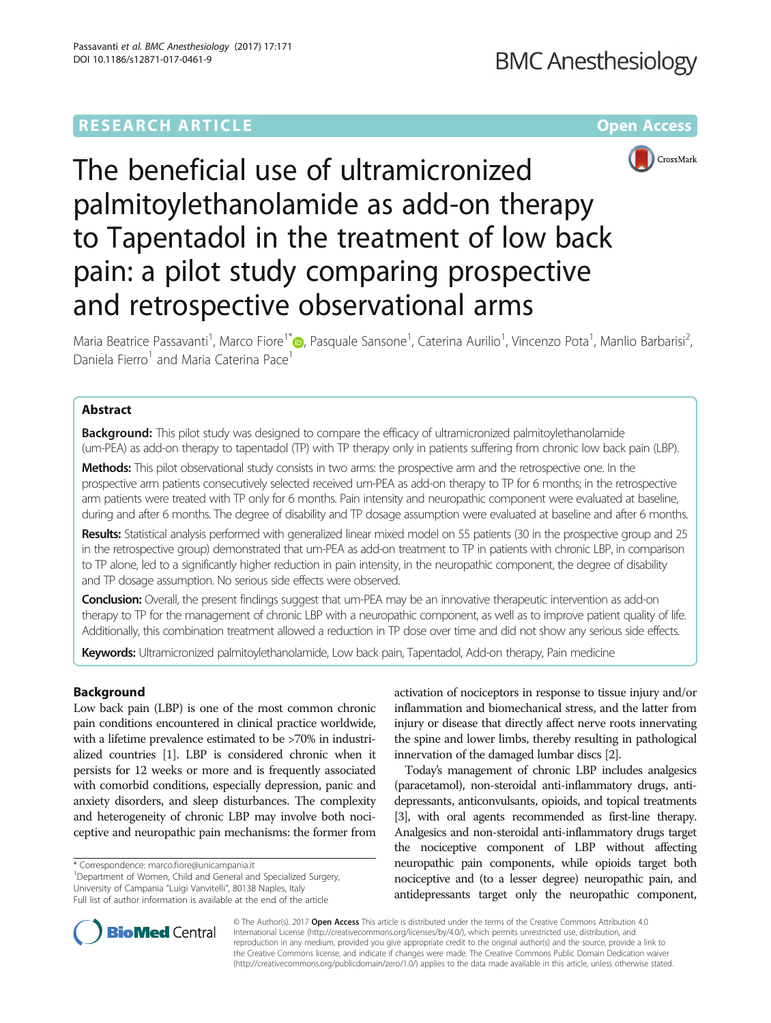## **BMC Anesthesiology**

## **RESEARCH ARTICLE Example 2014 12:30 The Community Community Community Community Community Community Community**



# The beneficial use of ultramicronized palmitoylethanolamide as add-on therapy to Tapentadol in the treatment of low back pain: a pilot study comparing prospective and retrospective observational arms

Maria Beatrice Passavanti<sup>1</sup>[,](http://orcid.org/0000-0001-7263-0229) Marco Fiore<sup>1\*</sup>®, Pasquale Sansone<sup>1</sup>, Caterina Aurilio<sup>1</sup>, Vincenzo Pota<sup>1</sup>, Manlio Barbarisi<sup>2</sup> , Daniela Fierro<sup>1</sup> and Maria Caterina Pace<sup>1</sup>

## Abstract

**Background:** This pilot study was designed to compare the efficacy of ultramicronized palmitoylethanolamide (um-PEA) as add-on therapy to tapentadol (TP) with TP therapy only in patients suffering from chronic low back pain (LBP).

Methods: This pilot observational study consists in two arms: the prospective arm and the retrospective one. In the prospective arm patients consecutively selected received um-PEA as add-on therapy to TP for 6 months; in the retrospective arm patients were treated with TP only for 6 months. Pain intensity and neuropathic component were evaluated at baseline, during and after 6 months. The degree of disability and TP dosage assumption were evaluated at baseline and after 6 months.

Results: Statistical analysis performed with generalized linear mixed model on 55 patients (30 in the prospective group and 25 in the retrospective group) demonstrated that um-PEA as add-on treatment to TP in patients with chronic LBP, in comparison to TP alone, led to a significantly higher reduction in pain intensity, in the neuropathic component, the degree of disability and TP dosage assumption. No serious side effects were observed.

Conclusion: Overall, the present findings suggest that um-PEA may be an innovative therapeutic intervention as add-on therapy to TP for the management of chronic LBP with a neuropathic component, as well as to improve patient quality of life. Additionally, this combination treatment allowed a reduction in TP dose over time and did not show any serious side effects.

Keywords: Ultramicronized palmitoylethanolamide, Low back pain, Tapentadol, Add-on therapy, Pain medicine

## Background

Low back pain (LBP) is one of the most common chronic pain conditions encountered in clinical practice worldwide, with a lifetime prevalence estimated to be >70% in industrialized countries [[1](#page-6-0)]. LBP is considered chronic when it persists for 12 weeks or more and is frequently associated with comorbid conditions, especially depression, panic and anxiety disorders, and sleep disturbances. The complexity and heterogeneity of chronic LBP may involve both nociceptive and neuropathic pain mechanisms: the former from

\* Correspondence: [marco.fiore@unicampania.it](mailto:marco.fiore@unicampania.it) <sup>1</sup>

<sup>1</sup> Department of Women, Child and General and Specialized Surgery, University of Campania "Luigi Vanvitelli", 80138 Naples, Italy Full list of author information is available at the end of the article

activation of nociceptors in response to tissue injury and/or inflammation and biomechanical stress, and the latter from injury or disease that directly affect nerve roots innervating the spine and lower limbs, thereby resulting in pathological innervation of the damaged lumbar discs [\[2](#page-6-0)].

Today's management of chronic LBP includes analgesics (paracetamol), non-steroidal anti-inflammatory drugs, antidepressants, anticonvulsants, opioids, and topical treatments [[3](#page-6-0)], with oral agents recommended as first-line therapy. Analgesics and non-steroidal anti-inflammatory drugs target the nociceptive component of LBP without affecting neuropathic pain components, while opioids target both nociceptive and (to a lesser degree) neuropathic pain, and antidepressants target only the neuropathic component,



© The Author(s). 2017 **Open Access** This article is distributed under the terms of the Creative Commons Attribution 4.0 International License [\(http://creativecommons.org/licenses/by/4.0/](http://creativecommons.org/licenses/by/4.0/)), which permits unrestricted use, distribution, and reproduction in any medium, provided you give appropriate credit to the original author(s) and the source, provide a link to the Creative Commons license, and indicate if changes were made. The Creative Commons Public Domain Dedication waiver [\(http://creativecommons.org/publicdomain/zero/1.0/](http://creativecommons.org/publicdomain/zero/1.0/)) applies to the data made available in this article, unless otherwise stated.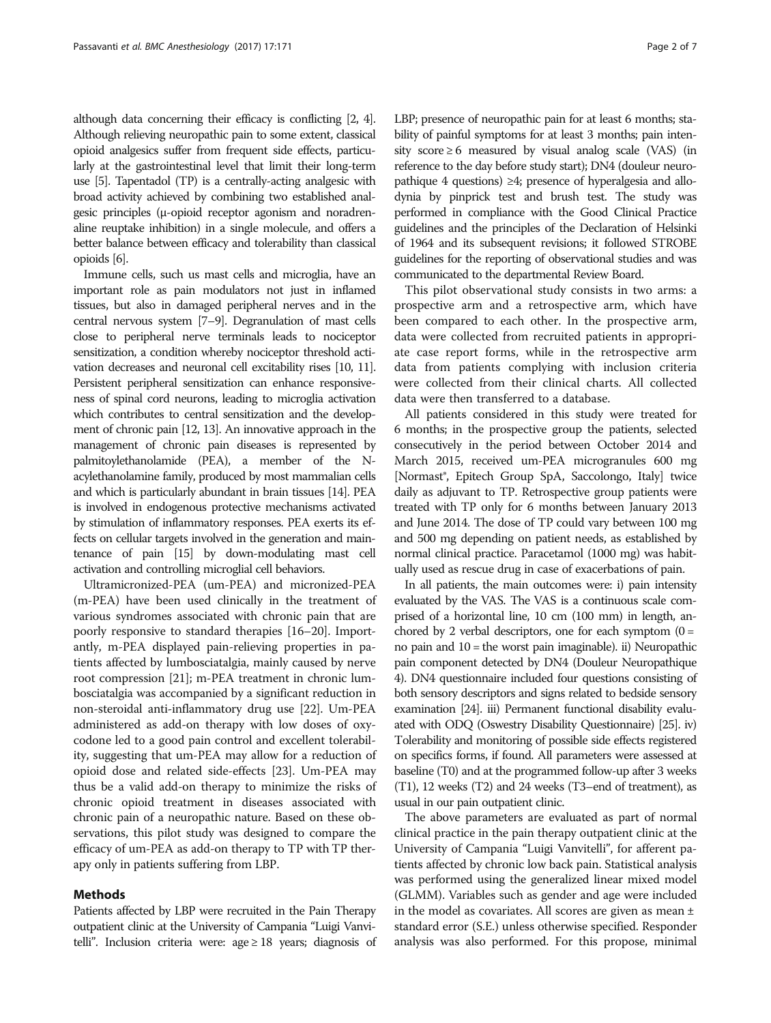although data concerning their efficacy is conflicting [\[2](#page-6-0), [4\]](#page-6-0). Although relieving neuropathic pain to some extent, classical opioid analgesics suffer from frequent side effects, particularly at the gastrointestinal level that limit their long-term use [\[5\]](#page-6-0). Tapentadol (TP) is a centrally-acting analgesic with broad activity achieved by combining two established analgesic principles (μ-opioid receptor agonism and noradrenaline reuptake inhibition) in a single molecule, and offers a better balance between efficacy and tolerability than classical opioids [[6](#page-6-0)].

Immune cells, such us mast cells and microglia, have an important role as pain modulators not just in inflamed tissues, but also in damaged peripheral nerves and in the central nervous system [\[7](#page-6-0)–[9\]](#page-6-0). Degranulation of mast cells close to peripheral nerve terminals leads to nociceptor sensitization, a condition whereby nociceptor threshold activation decreases and neuronal cell excitability rises [[10, 11\]](#page-6-0). Persistent peripheral sensitization can enhance responsiveness of spinal cord neurons, leading to microglia activation which contributes to central sensitization and the development of chronic pain [\[12](#page-6-0), [13](#page-6-0)]. An innovative approach in the management of chronic pain diseases is represented by palmitoylethanolamide (PEA), a member of the Nacylethanolamine family, produced by most mammalian cells and which is particularly abundant in brain tissues [\[14](#page-6-0)]. PEA is involved in endogenous protective mechanisms activated by stimulation of inflammatory responses. PEA exerts its effects on cellular targets involved in the generation and maintenance of pain [\[15](#page-6-0)] by down-modulating mast cell activation and controlling microglial cell behaviors.

Ultramicronized-PEA (um-PEA) and micronized-PEA (m-PEA) have been used clinically in the treatment of various syndromes associated with chronic pain that are poorly responsive to standard therapies [\[16](#page-6-0)–[20](#page-6-0)]. Importantly, m-PEA displayed pain-relieving properties in patients affected by lumbosciatalgia, mainly caused by nerve root compression [[21](#page-6-0)]; m-PEA treatment in chronic lumbosciatalgia was accompanied by a significant reduction in non-steroidal anti-inflammatory drug use [[22](#page-6-0)]. Um-PEA administered as add-on therapy with low doses of oxycodone led to a good pain control and excellent tolerability, suggesting that um-PEA may allow for a reduction of opioid dose and related side-effects [\[23\]](#page-6-0). Um-PEA may thus be a valid add-on therapy to minimize the risks of chronic opioid treatment in diseases associated with chronic pain of a neuropathic nature. Based on these observations, this pilot study was designed to compare the efficacy of um-PEA as add-on therapy to TP with TP therapy only in patients suffering from LBP.

## Methods

Patients affected by LBP were recruited in the Pain Therapy outpatient clinic at the University of Campania "Luigi Vanvitelli". Inclusion criteria were:  $age \geq 18$  years; diagnosis of LBP; presence of neuropathic pain for at least 6 months; stability of painful symptoms for at least 3 months; pain intensity score  $\geq 6$  measured by visual analog scale (VAS) (in reference to the day before study start); DN4 (douleur neuropathique 4 questions) ≥4; presence of hyperalgesia and allodynia by pinprick test and brush test. The study was performed in compliance with the Good Clinical Practice guidelines and the principles of the Declaration of Helsinki of 1964 and its subsequent revisions; it followed STROBE guidelines for the reporting of observational studies and was communicated to the departmental Review Board.

This pilot observational study consists in two arms: a prospective arm and a retrospective arm, which have been compared to each other. In the prospective arm, data were collected from recruited patients in appropriate case report forms, while in the retrospective arm data from patients complying with inclusion criteria were collected from their clinical charts. All collected data were then transferred to a database.

All patients considered in this study were treated for 6 months; in the prospective group the patients, selected consecutively in the period between October 2014 and March 2015, received um-PEA microgranules 600 mg [Normast®, Epitech Group SpA, Saccolongo, Italy] twice daily as adjuvant to TP. Retrospective group patients were treated with TP only for 6 months between January 2013 and June 2014. The dose of TP could vary between 100 mg and 500 mg depending on patient needs, as established by normal clinical practice. Paracetamol (1000 mg) was habitually used as rescue drug in case of exacerbations of pain.

In all patients, the main outcomes were: i) pain intensity evaluated by the VAS. The VAS is a continuous scale comprised of a horizontal line, 10 cm (100 mm) in length, anchored by 2 verbal descriptors, one for each symptom  $(0 =$ no pain and 10 = the worst pain imaginable). ii) Neuropathic pain component detected by DN4 (Douleur Neuropathique 4). DN4 questionnaire included four questions consisting of both sensory descriptors and signs related to bedside sensory examination [[24\]](#page-6-0). iii) Permanent functional disability evaluated with ODQ (Oswestry Disability Questionnaire) [\[25\]](#page-6-0). iv) Tolerability and monitoring of possible side effects registered on specifics forms, if found. All parameters were assessed at baseline (T0) and at the programmed follow-up after 3 weeks (T1), 12 weeks (T2) and 24 weeks (T3–end of treatment), as usual in our pain outpatient clinic.

The above parameters are evaluated as part of normal clinical practice in the pain therapy outpatient clinic at the University of Campania "Luigi Vanvitelli", for afferent patients affected by chronic low back pain. Statistical analysis was performed using the generalized linear mixed model (GLMM). Variables such as gender and age were included in the model as covariates. All scores are given as mean ± standard error (S.E.) unless otherwise specified. Responder analysis was also performed. For this propose, minimal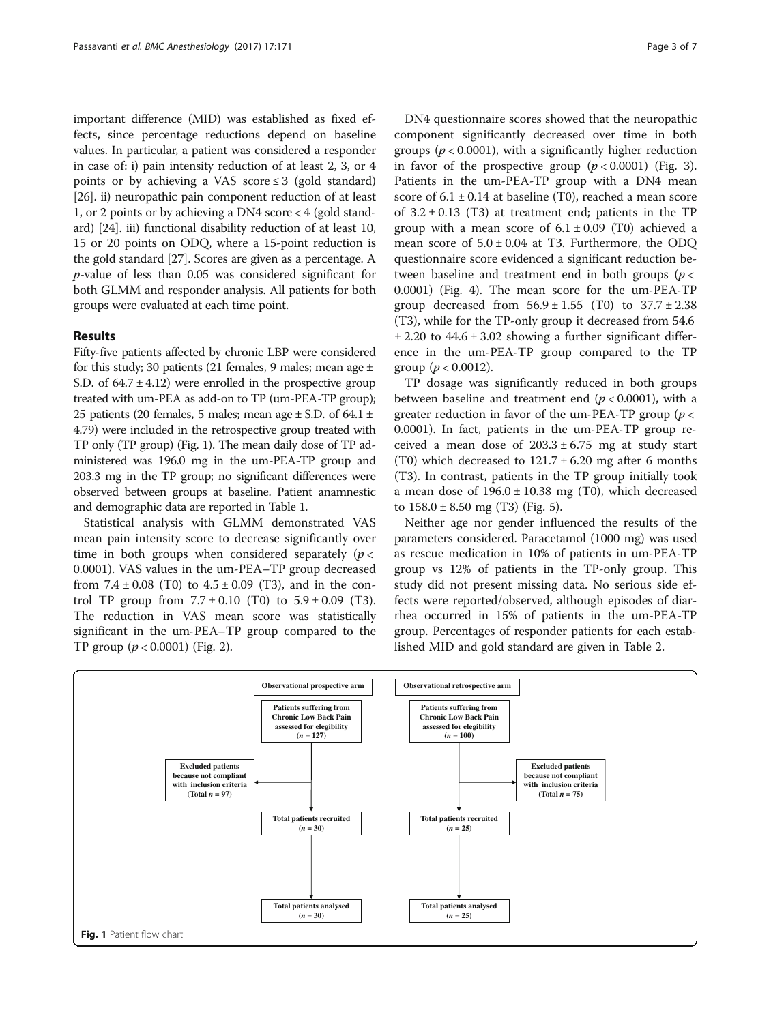<span id="page-2-0"></span>important difference (MID) was established as fixed effects, since percentage reductions depend on baseline values. In particular, a patient was considered a responder in case of: i) pain intensity reduction of at least 2, 3, or 4 points or by achieving a VAS score  $\leq$  3 (gold standard) [[26](#page-6-0)]. ii) neuropathic pain component reduction of at least 1, or 2 points or by achieving a DN4 score < 4 (gold standard) [\[24\]](#page-6-0). iii) functional disability reduction of at least 10, 15 or 20 points on ODQ, where a 15-point reduction is the gold standard [\[27](#page-6-0)]. Scores are given as a percentage. A p-value of less than 0.05 was considered significant for both GLMM and responder analysis. All patients for both groups were evaluated at each time point.

## Results

Fifty-five patients affected by chronic LBP were considered for this study; 30 patients (21 females, 9 males; mean age  $\pm$ S.D. of  $64.7 \pm 4.12$ ) were enrolled in the prospective group treated with um-PEA as add-on to TP (um-PEA-TP group); 25 patients (20 females, 5 males; mean age  $\pm$  S.D. of 64.1  $\pm$ 4.79) were included in the retrospective group treated with TP only (TP group) (Fig. 1). The mean daily dose of TP administered was 196.0 mg in the um-PEA-TP group and 203.3 mg in the TP group; no significant differences were observed between groups at baseline. Patient anamnestic and demographic data are reported in Table [1.](#page-3-0)

Statistical analysis with GLMM demonstrated VAS mean pain intensity score to decrease significantly over time in both groups when considered separately ( $p <$ 0.0001). VAS values in the um-PEA–TP group decreased from  $7.4 \pm 0.08$  (T0) to  $4.5 \pm 0.09$  (T3), and in the control TP group from  $7.7 \pm 0.10$  (T0) to  $5.9 \pm 0.09$  (T3). The reduction in VAS mean score was statistically significant in the um-PEA–TP group compared to the TP group  $(p < 0.0001)$  (Fig. [2](#page-3-0)).

DN4 questionnaire scores showed that the neuropathic component significantly decreased over time in both groups ( $p < 0.0001$ ), with a significantly higher reduction in favor of the prospective group  $(p < 0.0001)$  (Fig. [3](#page-3-0)). Patients in the um-PEA-TP group with a DN4 mean score of  $6.1 \pm 0.14$  at baseline (T0), reached a mean score of  $3.2 \pm 0.13$  (T3) at treatment end; patients in the TP group with a mean score of  $6.1 \pm 0.09$  (T0) achieved a mean score of 5.0 ± 0.04 at T3. Furthermore, the ODQ questionnaire score evidenced a significant reduction between baseline and treatment end in both groups ( $p <$ 0.0001) (Fig. [4](#page-3-0)). The mean score for the um-PEA-TP group decreased from  $56.9 \pm 1.55$  (T0) to  $37.7 \pm 2.38$ (T3), while for the TP-only group it decreased from 54.6  $\pm$  2.20 to 44.6  $\pm$  3.02 showing a further significant difference in the um-PEA-TP group compared to the TP group ( $p < 0.0012$ ).

TP dosage was significantly reduced in both groups between baseline and treatment end ( $p < 0.0001$ ), with a greater reduction in favor of the um-PEA-TP group ( $p <$ 0.0001). In fact, patients in the um-PEA-TP group received a mean dose of  $203.3 \pm 6.75$  mg at study start (T0) which decreased to  $121.7 \pm 6.20$  mg after 6 months (T3). In contrast, patients in the TP group initially took a mean dose of  $196.0 \pm 10.38$  mg (T0), which decreased to  $158.0 \pm 8.50$  mg (T3) (Fig. [5](#page-4-0)).

Neither age nor gender influenced the results of the parameters considered. Paracetamol (1000 mg) was used as rescue medication in 10% of patients in um-PEA-TP group vs 12% of patients in the TP-only group. This study did not present missing data. No serious side effects were reported/observed, although episodes of diarrhea occurred in 15% of patients in the um-PEA-TP group. Percentages of responder patients for each established MID and gold standard are given in Table [2](#page-4-0).

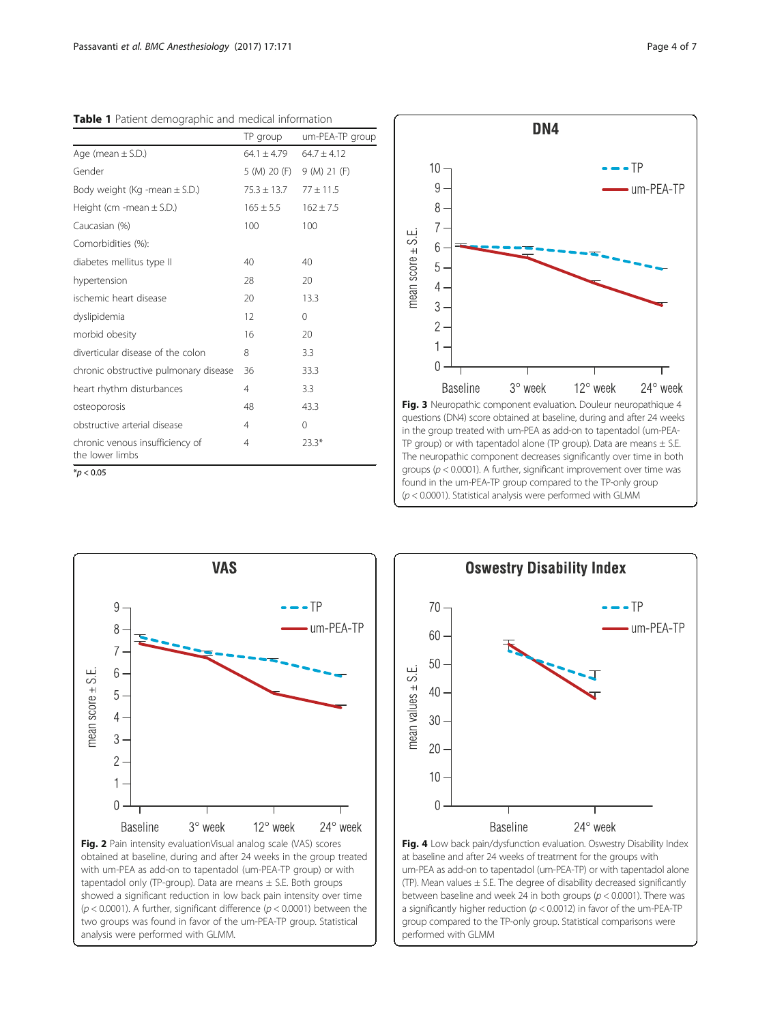<span id="page-3-0"></span>Table 1 Patient demographic and medical information

|                                                    | TP group        | um-PEA-TP group |  |
|----------------------------------------------------|-----------------|-----------------|--|
| Age (mean $\pm$ S.D.)                              | $64.1 \pm 4.79$ | $64.7 \pm 4.12$ |  |
| Gender                                             | 5 (M) 20 (F)    | 9 (M) 21 (F)    |  |
| Body weight (Kg -mean $\pm$ S.D.)                  | $75.3 \pm 13.7$ | $77 \pm 11.5$   |  |
| Height (cm -mean $\pm$ S.D.)                       | $165 \pm 5.5$   | $162 \pm 7.5$   |  |
| Caucasian (%)                                      | 100             | 100             |  |
| Comorbidities (%):                                 |                 |                 |  |
| diabetes mellitus type II                          | 40              | 40              |  |
| hypertension                                       | 28              | 20              |  |
| ischemic heart disease                             | 20              | 13.3            |  |
| dyslipidemia                                       | 12              | $\Omega$        |  |
| morbid obesity                                     | 16              | 20              |  |
| diverticular disease of the colon                  | 8               | 3.3             |  |
| chronic obstructive pulmonary disease              | 36              | 33.3            |  |
| heart rhythm disturbances                          | 4               | 3.3             |  |
| osteoporosis                                       | 48              | 43.3            |  |
| obstructive arterial disease                       | 4               | $\Omega$        |  |
| chronic venous insufficiency of<br>the lower limbs | $\overline{4}$  | $23.3*$         |  |
| * $p < 0.05$                                       |                 |                 |  |







Fig. 4 Low back pain/dysfunction evaluation. Oswestry Disability Index at baseline and after 24 weeks of treatment for the groups with um-PEA as add-on to tapentadol (um-PEA-TP) or with tapentadol alone (TP). Mean values  $\pm$  S.E. The degree of disability decreased significantly between baseline and week 24 in both groups ( $p < 0.0001$ ). There was a significantly higher reduction  $(p < 0.0012)$  in favor of the um-PEA-TP group compared to the TP-only group. Statistical comparisons were performed with GLMM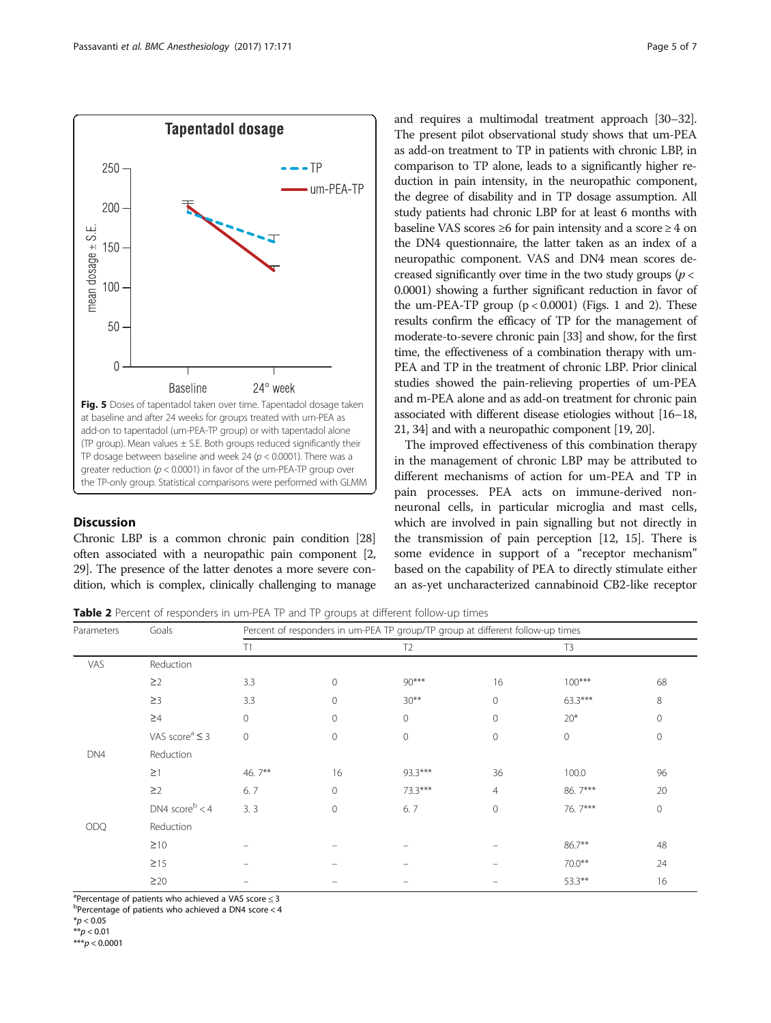<span id="page-4-0"></span>

## **Discussion**

Chronic LBP is a common chronic pain condition [\[28](#page-6-0)] often associated with a neuropathic pain component [[2](#page-6-0), [29](#page-6-0)]. The presence of the latter denotes a more severe condition, which is complex, clinically challenging to manage and requires a multimodal treatment approach [[30](#page-6-0)–[32](#page-6-0)]. The present pilot observational study shows that um-PEA as add-on treatment to TP in patients with chronic LBP, in comparison to TP alone, leads to a significantly higher reduction in pain intensity, in the neuropathic component, the degree of disability and in TP dosage assumption. All study patients had chronic LBP for at least 6 months with baseline VAS scores  $\geq 6$  for pain intensity and a score  $\geq 4$  on the DN4 questionnaire, the latter taken as an index of a neuropathic component. VAS and DN4 mean scores decreased significantly over time in the two study groups ( $p <$ 0.0001) showing a further significant reduction in favor of the um-PEA-TP group  $(p < 0.0001)$  (Figs. [1](#page-2-0) and [2](#page-3-0)). These results confirm the efficacy of TP for the management of moderate-to-severe chronic pain [[33](#page-6-0)] and show, for the first time, the effectiveness of a combination therapy with um-PEA and TP in the treatment of chronic LBP. Prior clinical studies showed the pain-relieving properties of um-PEA and m-PEA alone and as add-on treatment for chronic pain associated with different disease etiologies without [[16](#page-6-0)–[18](#page-6-0), [21](#page-6-0), [34](#page-6-0)] and with a neuropathic component [\[19, 20\]](#page-6-0).

The improved effectiveness of this combination therapy in the management of chronic LBP may be attributed to different mechanisms of action for um-PEA and TP in pain processes. PEA acts on immune-derived nonneuronal cells, in particular microglia and mast cells, which are involved in pain signalling but not directly in the transmission of pain perception [[12](#page-6-0), [15\]](#page-6-0). There is some evidence in support of a "receptor mechanism" based on the capability of PEA to directly stimulate either an as-yet uncharacterized cannabinoid CB2-like receptor

Table 2 Percent of responders in um-PEA TP and TP groups at different follow-up times

| Parameters | Goals                           | Percent of responders in um-PEA TP group/TP group at different follow-up times |          |                     |                |              |              |
|------------|---------------------------------|--------------------------------------------------------------------------------|----------|---------------------|----------------|--------------|--------------|
|            |                                 | T1                                                                             |          | T <sub>2</sub>      |                | T3           |              |
| VAS        | Reduction                       |                                                                                |          |                     |                |              |              |
|            | $\geq$ 2                        | 3.3                                                                            | $\Omega$ | $90***$             | 16             | $100***$     | 68           |
|            | $\geq$ 3                        | 3.3                                                                            | 0        | $30***$             | $\circ$        | 63.3***      | 8            |
|            | $\geq 4$                        | $\mathbf{0}$                                                                   | $\Omega$ | $\Omega$            | $\circ$        | $20*$        | $\mathbf{0}$ |
|            | VAS score <sup>a</sup> $\leq$ 3 | $\mathbf 0$                                                                    | 0        | $\mathsf{O}\xspace$ | $\circ$        | $\mathbf{0}$ | $\mathbf 0$  |
| DN4        | Reduction                       |                                                                                |          |                     |                |              |              |
|            | $\geq$ 1                        | 46.7**                                                                         | 16       | 93.3***             | 36             | 100.0        | 96           |
|            | $\geq$ 2                        | 6.7                                                                            | $\Omega$ | 73.3***             | $\overline{4}$ | 86.7***      | 20           |
|            | $DN4$ scoreb < 4                | 3.3                                                                            | 0        | 6.7                 | $\circ$        | 76.7***      | $\mathbf 0$  |
| ODQ        | Reduction                       |                                                                                |          |                     |                |              |              |
|            | $\geq 10$                       |                                                                                |          |                     |                | 86.7**       | 48           |
|            | $\geq$ 15                       |                                                                                |          |                     |                | $70.0**$     | 24           |
|            | $\geq$ 20                       |                                                                                |          |                     |                | $53.3***$    | 16           |

<sup>a</sup> Percentage of patients who achieved a VAS score ≤ 3<br>**PReceptage of patients who achieved a DN4 score </** 

 $b$ Percentage of patients who achieved a DN4 score  $<$  4

\*\**p* < 0.01<br>\*\*\*n < 0.0

 $***p < 0.0001$ 

<sup>\*</sup>p < 0.05<br>\*\*n < 0.0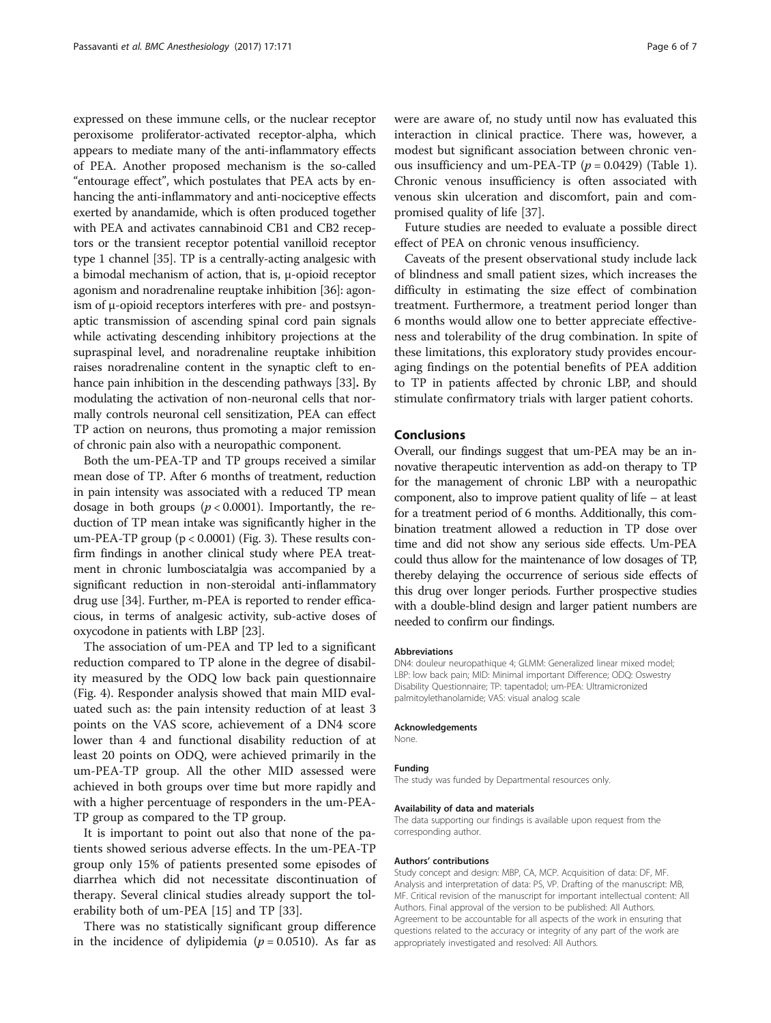expressed on these immune cells, or the nuclear receptor peroxisome proliferator-activated receptor-alpha, which appears to mediate many of the anti-inflammatory effects of PEA. Another proposed mechanism is the so-called "entourage effect", which postulates that PEA acts by enhancing the anti-inflammatory and anti-nociceptive effects exerted by anandamide, which is often produced together with PEA and activates cannabinoid CB1 and CB2 receptors or the transient receptor potential vanilloid receptor type 1 channel [\[35\]](#page-6-0). TP is a centrally-acting analgesic with a bimodal mechanism of action, that is, μ-opioid receptor agonism and noradrenaline reuptake inhibition [\[36\]](#page-6-0): agonism of μ-opioid receptors interferes with pre- and postsynaptic transmission of ascending spinal cord pain signals while activating descending inhibitory projections at the supraspinal level, and noradrenaline reuptake inhibition raises noradrenaline content in the synaptic cleft to enhance pain inhibition in the descending pathways [\[33\]](#page-6-0). By modulating the activation of non-neuronal cells that normally controls neuronal cell sensitization, PEA can effect TP action on neurons, thus promoting a major remission of chronic pain also with a neuropathic component.

Both the um-PEA-TP and TP groups received a similar mean dose of TP. After 6 months of treatment, reduction in pain intensity was associated with a reduced TP mean dosage in both groups ( $p < 0.0001$ ). Importantly, the reduction of TP mean intake was significantly higher in the um-PEA-TP group  $(p < 0.0001)$  (Fig. [3](#page-3-0)). These results confirm findings in another clinical study where PEA treatment in chronic lumbosciatalgia was accompanied by a significant reduction in non-steroidal anti-inflammatory drug use [[34\]](#page-6-0). Further, m-PEA is reported to render efficacious, in terms of analgesic activity, sub-active doses of oxycodone in patients with LBP [[23](#page-6-0)].

The association of um-PEA and TP led to a significant reduction compared to TP alone in the degree of disability measured by the ODQ low back pain questionnaire (Fig. [4](#page-3-0)). Responder analysis showed that main MID evaluated such as: the pain intensity reduction of at least 3 points on the VAS score, achievement of a DN4 score lower than 4 and functional disability reduction of at least 20 points on ODQ, were achieved primarily in the um-PEA-TP group. All the other MID assessed were achieved in both groups over time but more rapidly and with a higher percentuage of responders in the um-PEA-TP group as compared to the TP group.

It is important to point out also that none of the patients showed serious adverse effects. In the um-PEA-TP group only 15% of patients presented some episodes of diarrhea which did not necessitate discontinuation of therapy. Several clinical studies already support the tolerability both of um-PEA [\[15](#page-6-0)] and TP [\[33](#page-6-0)].

There was no statistically significant group difference in the incidence of dylipidemia ( $p = 0.0510$ ). As far as were are aware of, no study until now has evaluated this interaction in clinical practice. There was, however, a modest but significant association between chronic venous insufficiency and um-PEA-TP ( $p = 0.0429$ ) (Table [1](#page-3-0)). Chronic venous insufficiency is often associated with venous skin ulceration and discomfort, pain and compromised quality of life [[37\]](#page-6-0).

Future studies are needed to evaluate a possible direct effect of PEA on chronic venous insufficiency.

Caveats of the present observational study include lack of blindness and small patient sizes, which increases the difficulty in estimating the size effect of combination treatment. Furthermore, a treatment period longer than 6 months would allow one to better appreciate effectiveness and tolerability of the drug combination. In spite of these limitations, this exploratory study provides encouraging findings on the potential benefits of PEA addition to TP in patients affected by chronic LBP, and should stimulate confirmatory trials with larger patient cohorts.

## Conclusions

Overall, our findings suggest that um-PEA may be an innovative therapeutic intervention as add-on therapy to TP for the management of chronic LBP with a neuropathic component, also to improve patient quality of life – at least for a treatment period of 6 months. Additionally, this combination treatment allowed a reduction in TP dose over time and did not show any serious side effects. Um-PEA could thus allow for the maintenance of low dosages of TP, thereby delaying the occurrence of serious side effects of this drug over longer periods. Further prospective studies with a double-blind design and larger patient numbers are needed to confirm our findings.

#### Abbreviations

DN4: douleur neuropathique 4; GLMM: Generalized linear mixed model; LBP: low back pain; MID: Minimal important Difference; ODQ: Oswestry Disability Questionnaire; TP: tapentadol; um-PEA: Ultramicronized palmitoylethanolamide; VAS: visual analog scale

#### Acknowledgements

None.

#### Funding

The study was funded by Departmental resources only.

#### Availability of data and materials

The data supporting our findings is available upon request from the corresponding author.

#### Authors' contributions

Study concept and design: MBP, CA, MCP. Acquisition of data: DF, MF. Analysis and interpretation of data: PS, VP. Drafting of the manuscript: MB, MF. Critical revision of the manuscript for important intellectual content: All Authors. Final approval of the version to be published: All Authors. Agreement to be accountable for all aspects of the work in ensuring that questions related to the accuracy or integrity of any part of the work are appropriately investigated and resolved: All Authors.